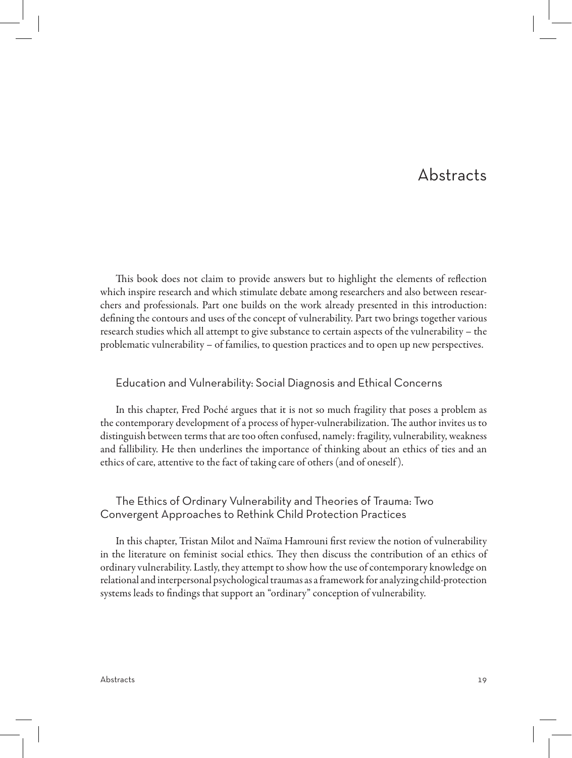# Abstracts

This book does not claim to provide answers but to highlight the elements of reflection which inspire research and which stimulate debate among researchers and also between researchers and professionals. Part one builds on the work already presented in this introduction: defining the contours and uses of the concept of vulnerability. Part two brings together various research studies which all attempt to give substance to certain aspects of the vulnerability – the problematic vulnerability – of families, to question practices and to open up new perspectives.

#### Education and Vulnerability: Social Diagnosis and Ethical Concerns

In this chapter, Fred Poché argues that it is not so much fragility that poses a problem as the contemporary development of a process of hyper-vulnerabilization. The author invites us to distinguish between terms that are too often confused, namely: fragility, vulnerability, weakness and fallibility. He then underlines the importance of thinking about an ethics of ties and an ethics of care, attentive to the fact of taking care of others (and of oneself ).

#### The Ethics of Ordinary Vulnerability and Theories of Trauma: Two Convergent Approaches to Rethink Child Protection Practices

In this chapter, Tristan Milot and Naïma Hamrouni first review the notion of vulnerability in the literature on feminist social ethics. They then discuss the contribution of an ethics of ordinary vulnerability. Lastly, they attempt to show how the use of contemporary knowledge on relational and interpersonal psychological traumas as a framework for analyzing child-protection systems leads to findings that support an "ordinary" conception of vulnerability.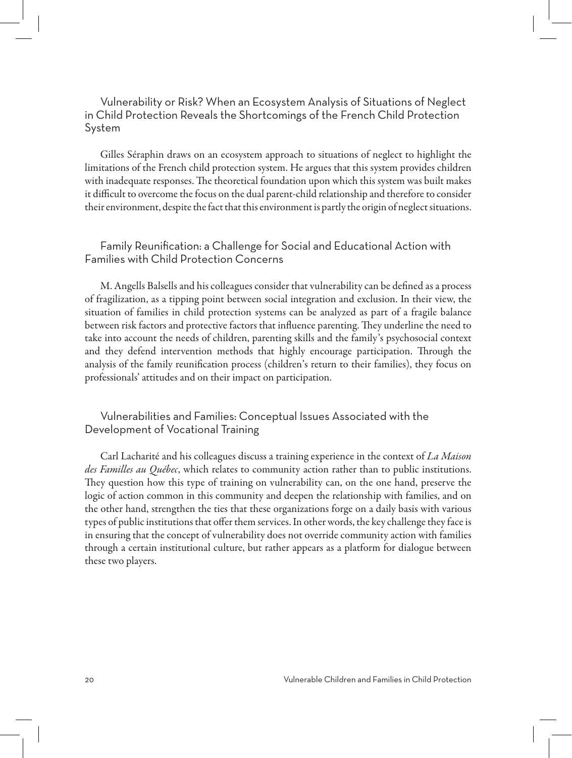Vulnerability or Risk? When an Ecosystem Analysis of Situations of Neglect in Child Protection Reveals the Shortcomings of the French Child Protection System

Gilles Séraphin draws on an ecosystem approach to situations of neglect to highlight the limitations of the French child protection system. He argues that this system provides children with inadequate responses. The theoretical foundation upon which this system was built makes it difficult to overcome the focus on the dual parent-child relationship and therefore to consider their environment, despite the fact that this environment is partly the origin of neglect situations.

## Family Reunification: a Challenge for Social and Educational Action with Families with Child Protection Concerns

M. Angells Balsells and his colleagues consider that vulnerability can be defined as a process of fragilization, as a tipping point between social integration and exclusion. In their view, the situation of families in child protection systems can be analyzed as part of a fragile balance between risk factors and protective factors that influence parenting. They underline the need to take into account the needs of children, parenting skills and the family's psychosocial context and they defend intervention methods that highly encourage participation. Through the analysis of the family reunification process (children's return to their families), they focus on professionals' attitudes and on their impact on participation.

## Vulnerabilities and Families: Conceptual Issues Associated with the Development of Vocational Training

Carl Lacharité and his colleagues discuss a training experience in the context of *La Maison des Familles au Québec*, which relates to community action rather than to public institutions. They question how this type of training on vulnerability can, on the one hand, preserve the logic of action common in this community and deepen the relationship with families, and on the other hand, strengthen the ties that these organizations forge on a daily basis with various types of public institutions that offer them services. In other words, the key challenge they face is in ensuring that the concept of vulnerability does not override community action with families through a certain institutional culture, but rather appears as a platform for dialogue between these two players.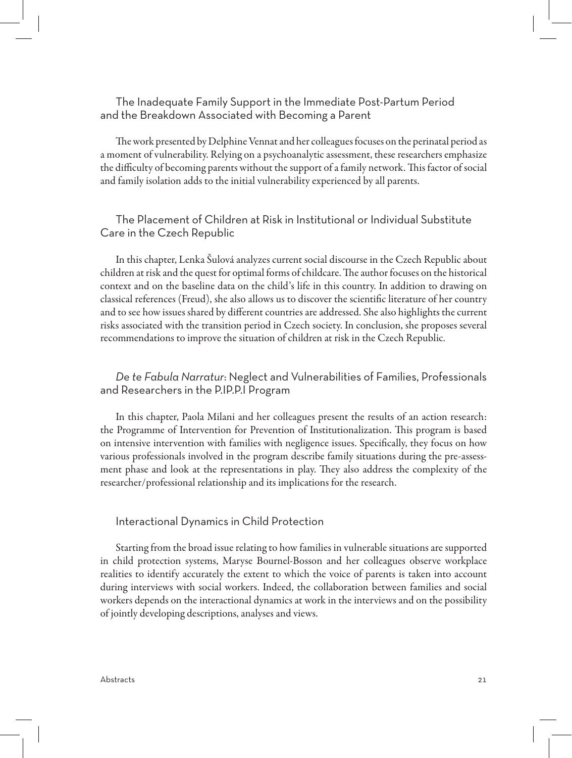#### The Inadequate Family Support in the Immediate Post-Partum Period and the Breakdown Associated with Becoming a Parent

The work presented by Delphine Vennat and her colleagues focuses on the perinatal period as a moment of vulnerability. Relying on a psychoanalytic assessment, these researchers emphasize the difficulty of becoming parents without the support of a family network. This factor of social and family isolation adds to the initial vulnerability experienced by all parents.

## The Placement of Children at Risk in Institutional or Individual Substitute Care in the Czech Republic

In this chapter, Lenka Šulová analyzes current social discourse in the Czech Republic about children at risk and the quest for optimal forms of childcare. The author focuses on the historical context and on the baseline data on the child's life in this country. In addition to drawing on classical references (Freud), she also allows us to discover the scientific literature of her country and to see how issues shared by different countries are addressed. She also highlights the current risks associated with the transition period in Czech society. In conclusion, she proposes several recommendations to improve the situation of children at risk in the Czech Republic.

## *De te Fabula Narratur*: Neglect and Vulnerabilities of Families, Professionals and Researchers in the P.IP.P.I Program

In this chapter, Paola Milani and her colleagues present the results of an action research: the Programme of Intervention for Prevention of Institutionalization. This program is based on intensive intervention with families with negligence issues. Specifically, they focus on how various professionals involved in the program describe family situations during the pre-assessment phase and look at the representations in play. They also address the complexity of the researcher/professional relationship and its implications for the research.

#### Interactional Dynamics in Child Protection

Starting from the broad issue relating to how families in vulnerable situations are supported in child protection systems, Maryse Bournel-Bosson and her colleagues observe workplace realities to identify accurately the extent to which the voice of parents is taken into account during interviews with social workers. Indeed, the collaboration between families and social workers depends on the interactional dynamics at work in the interviews and on the possibility of jointly developing descriptions, analyses and views.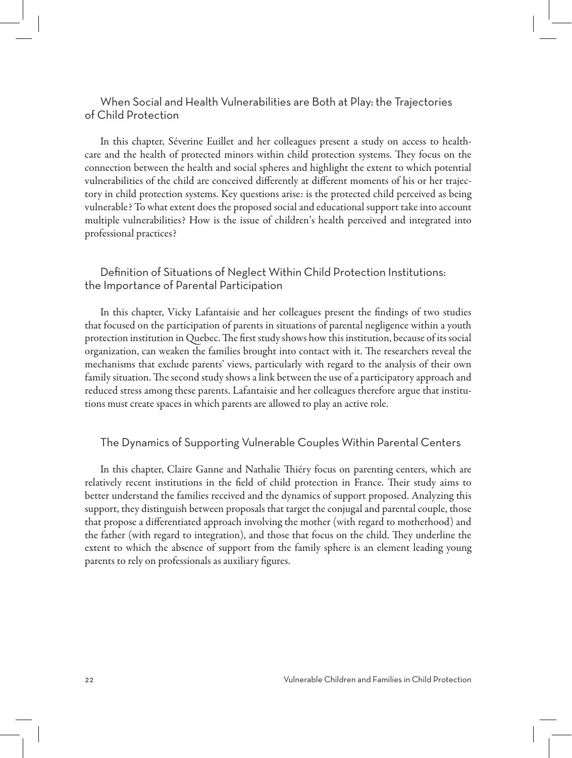## When Social and Health Vulnerabilities are Both at Play: the Trajectories of Child Protection

In this chapter, Séverine Euillet and her colleagues present a study on access to healthcare and the health of protected minors within child protection systems. They focus on the connection between the health and social spheres and highlight the extent to which potential vulnerabilities of the child are conceived differently at different moments of his or her trajectory in child protection systems. Key questions arise: is the protected child perceived as being vulnerable? To what extent does the proposed social and educational support take into account multiple vulnerabilities? How is the issue of children's health perceived and integrated into professional practices?

### Definition of Situations of Neglect Within Child Protection Institutions: the Importance of Parental Participation

In this chapter, Vicky Lafantaisie and her colleagues present the findings of two studies that focused on the participation of parents in situations of parental negligence within a youth protection institution in Quebec. The first study shows how this institution, because of its social organization, can weaken the families brought into contact with it. The researchers reveal the mechanisms that exclude parents' views, particularly with regard to the analysis of their own family situation. The second study shows a link between the use of a participatory approach and reduced stress among these parents. Lafantaisie and her colleagues therefore argue that institutions must create spaces in which parents are allowed to play an active role.

#### The Dynamics of Supporting Vulnerable Couples Within Parental Centers

In this chapter, Claire Ganne and Nathalie Thiéry focus on parenting centers, which are relatively recent institutions in the field of child protection in France. Their study aims to better understand the families received and the dynamics of support proposed. Analyzing this support, they distinguish between proposals that target the conjugal and parental couple, those that propose a differentiated approach involving the mother (with regard to motherhood) and the father (with regard to integration), and those that focus on the child. They underline the extent to which the absence of support from the family sphere is an element leading young parents to rely on professionals as auxiliary figures.